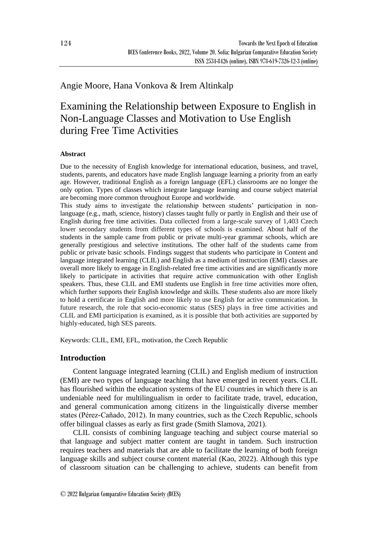# Angie Moore, Hana Vonkova & Irem Altinkalp

# Examining the Relationship between Exposure to English in Non-Language Classes and Motivation to Use English during Free Time Activities

#### **Abstract**

Due to the necessity of English knowledge for international education, business, and travel, students, parents, and educators have made English language learning a priority from an early age. However, traditional English as a foreign language (EFL) classrooms are no longer the only option. Types of classes which integrate language learning and course subject material are becoming more common throughout Europe and worldwide.

This study aims to investigate the relationship between students' participation in nonlanguage (e.g., math, science, history) classes taught fully or partly in English and their use of English during free time activities. Data collected from a large-scale survey of 1,403 Czech lower secondary students from different types of schools is examined. About half of the students in the sample came from public or private multi-year grammar schools, which are generally prestigious and selective institutions. The other half of the students came from public or private basic schools. Findings suggest that students who participate in Content and language integrated learning (CLIL) and English as a medium of instruction (EMI) classes are overall more likely to engage in English-related free time activities and are significantly more likely to participate in activities that require active communication with other English speakers. Thus, these CLIL and EMI students use English in free time activities more often, which further supports their English knowledge and skills. These students also are more likely to hold a certificate in English and more likely to use English for active communication. In future research, the role that socio-economic status (SES) plays in free time activities and CLIL and EMI participation is examined, as it is possible that both activities are supported by highly-educated, high SES parents.

Keywords: CLIL, EMI, EFL, motivation, the Czech Republic

## **Introduction**

Content language integrated learning (CLIL) and English medium of instruction (EMI) are two types of language teaching that have emerged in recent years. CLIL has flourished within the education systems of the EU countries in which there is an undeniable need for multilingualism in order to facilitate trade, travel, education, and general communication among citizens in the linguistically diverse member states (Pérez-Cañado, 2012). In many countries, such as the Czech Republic, schools offer bilingual classes as early as first grade (Smith Slamova, 2021).

CLIL consists of combining language teaching and subject course material so that language and subject matter content are taught in tandem. Such instruction requires teachers and materials that are able to facilitate the learning of both foreign language skills and subject course content material (Kao, 2022). Although this type of classroom situation can be challenging to achieve, students can benefit from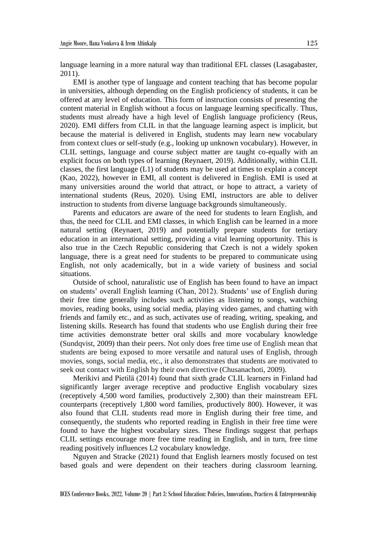language learning in a more natural way than traditional EFL classes (Lasagabaster, 2011).

EMI is another type of language and content teaching that has become popular in universities, although depending on the English proficiency of students, it can be offered at any level of education. This form of instruction consists of presenting the content material in English without a focus on language learning specifically. Thus, students must already have a high level of English language proficiency (Reus, 2020). EMI differs from CLIL in that the language learning aspect is implicit, but because the material is delivered in English, students may learn new vocabulary from context clues or self-study (e.g., looking up unknown vocabulary). However, in CLIL settings, language and course subject matter are taught co-equally with an explicit focus on both types of learning (Reynaert, 2019). Additionally, within CLIL classes, the first language (L1) of students may be used at times to explain a concept (Kao, 2022), however in EMI, all content is delivered in English. EMI is used at many universities around the world that attract, or hope to attract, a variety of international students (Reus, 2020). Using EMI, instructors are able to deliver instruction to students from diverse language backgrounds simultaneously.

Parents and educators are aware of the need for students to learn English, and thus, the need for CLIL and EMI classes, in which English can be learned in a more natural setting (Reynaert, 2019) and potentially prepare students for tertiary education in an international setting, providing a vital learning opportunity. This is also true in the Czech Republic considering that Czech is not a widely spoken language, there is a great need for students to be prepared to communicate using English, not only academically, but in a wide variety of business and social situations.

Outside of school, naturalistic use of English has been found to have an impact on students' overall English learning (Chan, 2012). Students' use of English during their free time generally includes such activities as listening to songs, watching movies, reading books, using social media, playing video games, and chatting with friends and family etc., and as such, activates use of reading, writing, speaking, and listening skills. Research has found that students who use English during their free time activities demonstrate better oral skills and more vocabulary knowledge (Sundqvist, 2009) than their peers. Not only does free time use of English mean that students are being exposed to more versatile and natural uses of English, through movies, songs, social media, etc., it also demonstrates that students are motivated to seek out contact with English by their own directive (Chusanachoti, 2009).

Merikivi and Pietilä (2014) found that sixth grade CLIL learners in Finland had significantly larger average receptive and productive English vocabulary sizes (receptively 4,500 word families, productively 2,300) than their mainstream EFL counterparts (receptively 1,800 word families, productively 800). However, it was also found that CLIL students read more in English during their free time, and consequently, the students who reported reading in English in their free time were found to have the highest vocabulary sizes. These findings suggest that perhaps CLIL settings encourage more free time reading in English, and in turn, free time reading positively influences L2 vocabulary knowledge.

Nguyen and Stracke (2021) found that English learners mostly focused on test based goals and were dependent on their teachers during classroom learning.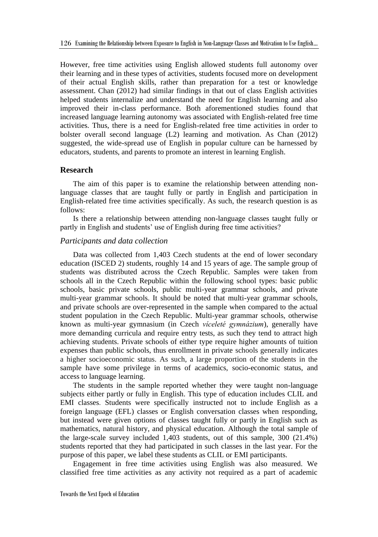However, free time activities using English allowed students full autonomy over their learning and in these types of activities, students focused more on development of their actual English skills, rather than preparation for a test or knowledge assessment. Chan (2012) had similar findings in that out of class English activities helped students internalize and understand the need for English learning and also improved their in-class performance. Both aforementioned studies found that increased language learning autonomy was associated with English-related free time activities. Thus, there is a need for English-related free time activities in order to bolster overall second language (L2) learning and motivation. As Chan (2012) suggested, the wide-spread use of English in popular culture can be harnessed by educators, students, and parents to promote an interest in learning English.

## **Research**

The aim of this paper is to examine the relationship between attending nonlanguage classes that are taught fully or partly in English and participation in English-related free time activities specifically. As such, the research question is as follows:

Is there a relationship between attending non-language classes taught fully or partly in English and students' use of English during free time activities?

#### *Participants and data collection*

Data was collected from 1,403 Czech students at the end of lower secondary education (ISCED 2) students, roughly 14 and 15 years of age. The sample group of students was distributed across the Czech Republic. Samples were taken from schools all in the Czech Republic within the following school types: basic public schools, basic private schools, public multi-year grammar schools, and private multi-year grammar schools. It should be noted that multi-year grammar schools, and private schools are over-represented in the sample when compared to the actual student population in the Czech Republic. Multi-year grammar schools, otherwise known as multi-year gymnasium (in Czech *víceleté gymnázium*), generally have more demanding curricula and require entry tests, as such they tend to attract high achieving students. Private schools of either type require higher amounts of tuition expenses than public schools, thus enrollment in private schools generally indicates a higher socioeconomic status. As such, a large proportion of the students in the sample have some privilege in terms of academics, socio-economic status, and access to language learning.

The students in the sample reported whether they were taught non-language subjects either partly or fully in English. This type of education includes CLIL and EMI classes. Students were specifically instructed not to include English as a foreign language (EFL) classes or English conversation classes when responding, but instead were given options of classes taught fully or partly in English such as mathematics, natural history, and physical education. Although the total sample of the large-scale survey included 1,403 students, out of this sample, 300 (21.4%) students reported that they had participated in such classes in the last year. For the purpose of this paper, we label these students as CLIL or EMI participants.

Engagement in free time activities using English was also measured. We classified free time activities as any activity not required as a part of academic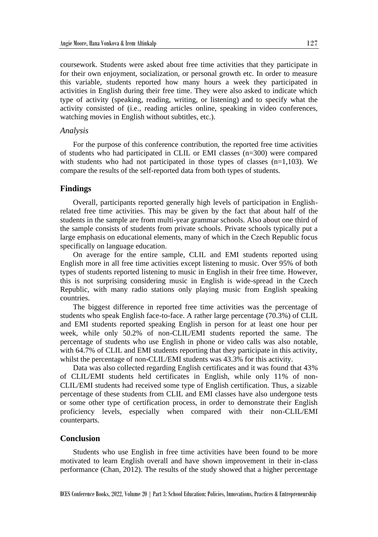coursework. Students were asked about free time activities that they participate in for their own enjoyment, socialization, or personal growth etc. In order to measure this variable, students reported how many hours a week they participated in activities in English during their free time. They were also asked to indicate which type of activity (speaking, reading, writing, or listening) and to specify what the activity consisted of (i.e., reading articles online, speaking in video conferences, watching movies in English without subtitles, etc.).

#### *Analysis*

For the purpose of this conference contribution, the reported free time activities of students who had participated in CLIL or EMI classes (n=300) were compared with students who had not participated in those types of classes  $(n=1,103)$ . We compare the results of the self-reported data from both types of students.

#### **Findings**

Overall, participants reported generally high levels of participation in Englishrelated free time activities. This may be given by the fact that about half of the students in the sample are from multi-year grammar schools. Also about one third of the sample consists of students from private schools. Private schools typically put a large emphasis on educational elements, many of which in the Czech Republic focus specifically on language education.

On average for the entire sample, CLIL and EMI students reported using English more in all free time activities except listening to music. Over 95% of both types of students reported listening to music in English in their free time. However, this is not surprising considering music in English is wide-spread in the Czech Republic, with many radio stations only playing music from English speaking countries.

The biggest difference in reported free time activities was the percentage of students who speak English face-to-face. A rather large percentage (70.3%) of CLIL and EMI students reported speaking English in person for at least one hour per week, while only 50.2% of non-CLIL/EMI students reported the same. The percentage of students who use English in phone or video calls was also notable, with 64.7% of CLIL and EMI students reporting that they participate in this activity, whilst the percentage of non-CLIL/EMI students was 43.3% for this activity.

Data was also collected regarding English certificates and it was found that 43% of CLIL/EMI students held certificates in English, while only 11% of non-CLIL/EMI students had received some type of English certification. Thus, a sizable percentage of these students from CLIL and EMI classes have also undergone tests or some other type of certification process, in order to demonstrate their English proficiency levels, especially when compared with their non-CLIL/EMI counterparts.

#### **Conclusion**

Students who use English in free time activities have been found to be more motivated to learn English overall and have shown improvement in their in-class performance (Chan, 2012). The results of the study showed that a higher percentage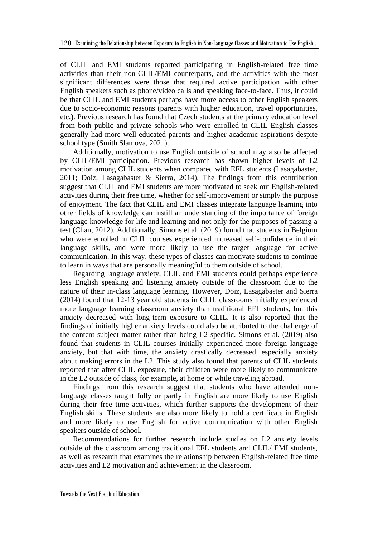of CLIL and EMI students reported participating in English-related free time activities than their non-CLIL/EMI counterparts, and the activities with the most significant differences were those that required active participation with other English speakers such as phone/video calls and speaking face-to-face. Thus, it could be that CLIL and EMI students perhaps have more access to other English speakers due to socio-economic reasons (parents with higher education, travel opportunities, etc.). Previous research has found that Czech students at the primary education level from both public and private schools who were enrolled in CLIL English classes generally had more well-educated parents and higher academic aspirations despite school type (Smith Slamova, 2021).

Additionally, motivation to use English outside of school may also be affected by CLIL/EMI participation. Previous research has shown higher levels of L2 motivation among CLIL students when compared with EFL students (Lasagabaster, 2011; Doiz, Lasagabaster & Sierra, 2014). The findings from this contribution suggest that CLIL and EMI students are more motivated to seek out English-related activities during their free time, whether for self-improvement or simply the purpose of enjoyment. The fact that CLIL and EMI classes integrate language learning into other fields of knowledge can instill an understanding of the importance of foreign language knowledge for life and learning and not only for the purposes of passing a test (Chan, 2012). Additionally, Simons et al. (2019) found that students in Belgium who were enrolled in CLIL courses experienced increased self-confidence in their language skills, and were more likely to use the target language for active communication. In this way, these types of classes can motivate students to continue to learn in ways that are personally meaningful to them outside of school.

Regarding language anxiety, CLIL and EMI students could perhaps experience less English speaking and listening anxiety outside of the classroom due to the nature of their in-class language learning. However, Doiz, Lasagabaster and Sierra (2014) found that 12-13 year old students in CLIL classrooms initially experienced more language learning classroom anxiety than traditional EFL students, but this anxiety decreased with long-term exposure to CLIL. It is also reported that the findings of initially higher anxiety levels could also be attributed to the challenge of the content subject matter rather than being L2 specific. Simons et al. (2019) also found that students in CLIL courses initially experienced more foreign language anxiety, but that with time, the anxiety drastically decreased, especially anxiety about making errors in the L2. This study also found that parents of CLIL students reported that after CLIL exposure, their children were more likely to communicate in the L2 outside of class, for example, at home or while traveling abroad.

Findings from this research suggest that students who have attended nonlanguage classes taught fully or partly in English are more likely to use English during their free time activities, which further supports the development of their English skills. These students are also more likely to hold a certificate in English and more likely to use English for active communication with other English speakers outside of school.

Recommendations for further research include studies on L2 anxiety levels outside of the classroom among traditional EFL students and CLIL/ EMI students, as well as research that examines the relationship between English-related free time activities and L2 motivation and achievement in the classroom.